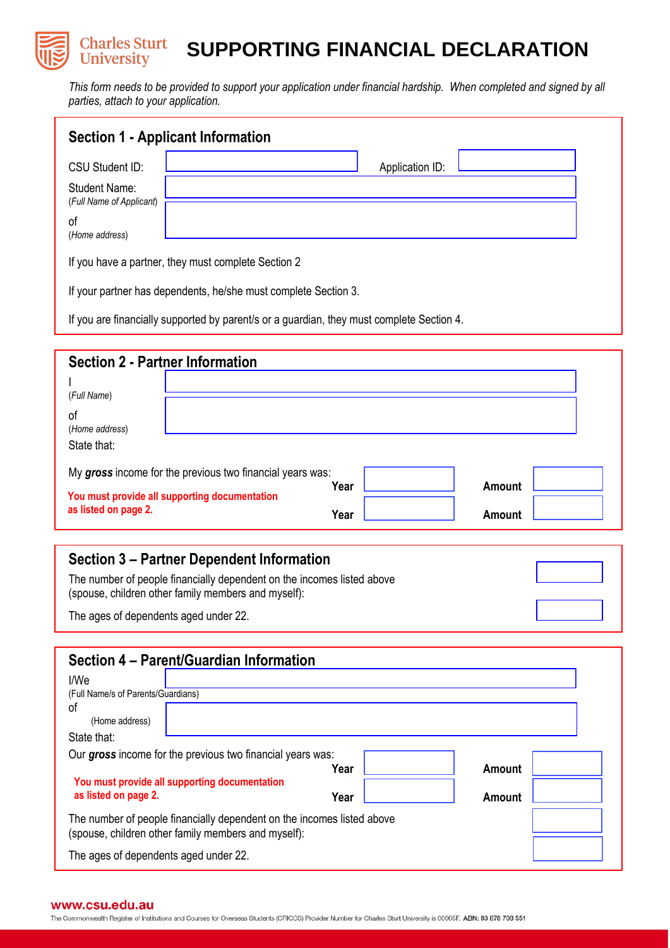#### **Charles Sturt SUPPORTING FINANCIAL DECLARATION University**

*This form needs to be provided to support your application under financial hardship. When completed and signed by all parties, attach to your application.*

| <b>Section 1 - Applicant Information</b>            |                 |
|-----------------------------------------------------|-----------------|
| CSU Student ID:                                     | Application ID: |
| <b>Student Name:</b><br>(Full Name of Applicant)    |                 |
| οf<br>(Home address)                                |                 |
| If you have a partner, they must complete Section 2 |                 |

If your partner has dependents, he/she must complete Section 3.

If you are financially supported by parent/s or a guardian, they must complete Section 4.

| <b>Section 2 - Partner Information</b> |                                                           |      |  |               |  |  |
|----------------------------------------|-----------------------------------------------------------|------|--|---------------|--|--|
| (Full Name)                            |                                                           |      |  |               |  |  |
| of<br>(Home address)                   |                                                           |      |  |               |  |  |
| State that:                            |                                                           |      |  |               |  |  |
|                                        | My gross income for the previous two financial years was: | Year |  | <b>Amount</b> |  |  |
| as listed on page 2.                   | You must provide all supporting documentation             | Year |  | <b>Amount</b> |  |  |

## **Section 3 – Partner Dependent Information**  The number of people financially dependent on the incomes listed above (spouse, children other family members and myself): The ages of dependents aged under 22.

| Section 4 – Parent/Guardian Information |                                                                                                                               |      |        |  |  |  |
|-----------------------------------------|-------------------------------------------------------------------------------------------------------------------------------|------|--------|--|--|--|
| I/We                                    |                                                                                                                               |      |        |  |  |  |
| (Full Name/s of Parents/Guardians)      |                                                                                                                               |      |        |  |  |  |
| οf                                      |                                                                                                                               |      |        |  |  |  |
| (Home address)                          |                                                                                                                               |      |        |  |  |  |
| State that:                             |                                                                                                                               |      |        |  |  |  |
|                                         | Our gross income for the previous two financial years was:                                                                    |      |        |  |  |  |
|                                         | You must provide all supporting documentation                                                                                 | Year | Amount |  |  |  |
| as listed on page 2.                    |                                                                                                                               | Year | Amount |  |  |  |
|                                         | The number of people financially dependent on the incomes listed above<br>(spouse, children other family members and myself): |      |        |  |  |  |
| The ages of dependents aged under 22.   |                                                                                                                               |      |        |  |  |  |

#### www.csu.edu.au

The Commonwealth Register of Institutions and Courses for Overseas Students (CRICOS) Provider Number for Charles Sturt University is 00005F. ABN: 83 878 708 551